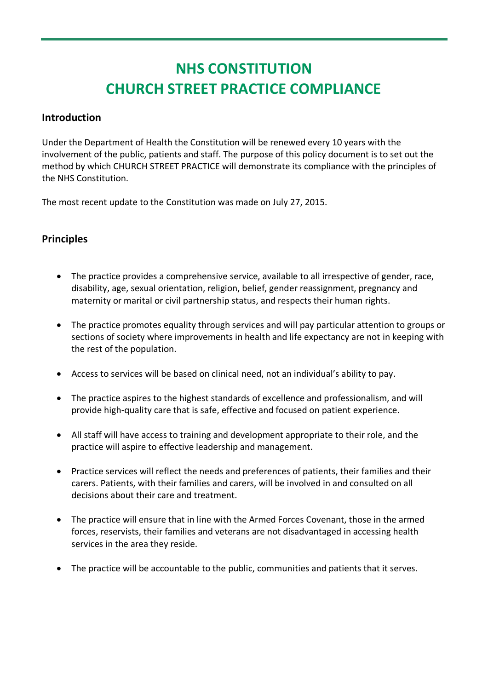# **NHS CONSTITUTION CHURCH STREET PRACTICE COMPLIANCE**

## **Introduction**

Under the Department of Health the Constitution will be renewed every 10 years with the involvement of the public, patients and staff. The purpose of this policy document is to set out the method by which CHURCH STREET PRACTICE will demonstrate its compliance with the principles of the NHS Constitution.

The most recent update to the Constitution was made on July 27, 2015.

# **Principles**

- The practice provides a comprehensive service, available to all irrespective of gender, race, disability, age, sexual orientation, religion, belief, gender reassignment, pregnancy and maternity or marital or civil partnership status, and respects their human rights.
- The practice promotes equality through services and will pay particular attention to groups or sections of society where improvements in health and life expectancy are not in keeping with the rest of the population.
- Access to services will be based on clinical need, not an individual's ability to pay.
- The practice aspires to the highest standards of excellence and professionalism, and will provide high-quality care that is safe, effective and focused on patient experience.
- All staff will have access to training and development appropriate to their role, and the practice will aspire to effective leadership and management.
- Practice services will reflect the needs and preferences of patients, their families and their carers. Patients, with their families and carers, will be involved in and consulted on all decisions about their care and treatment.
- The practice will ensure that in line with the Armed Forces Covenant, those in the armed forces, reservists, their families and veterans are not disadvantaged in accessing health services in the area they reside.
- The practice will be accountable to the public, communities and patients that it serves.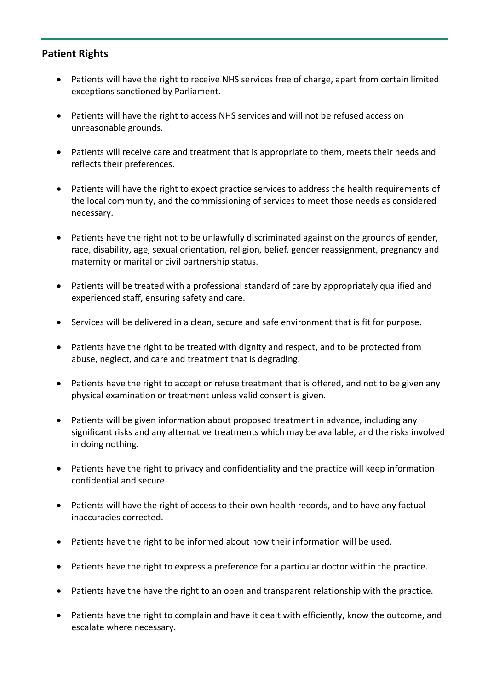## **Patient Rights**

- Patients will have the right to receive NHS services free of charge, apart from certain limited exceptions sanctioned by Parliament.
- Patients will have the right to access NHS services and will not be refused access on unreasonable grounds.
- Patients will receive care and treatment that is appropriate to them, meets their needs and reflects their preferences.
- Patients will have the right to expect practice services to address the health requirements of the local community, and the commissioning of services to meet those needs as considered necessary.
- Patients have the right not to be unlawfully discriminated against on the grounds of gender, race, disability, age, sexual orientation, religion, belief, gender reassignment, pregnancy and maternity or marital or civil partnership status.
- Patients will be treated with a professional standard of care by appropriately qualified and experienced staff, ensuring safety and care.
- Services will be delivered in a clean, secure and safe environment that is fit for purpose.
- Patients have the right to be treated with dignity and respect, and to be protected from abuse, neglect, and care and treatment that is degrading.
- Patients have the right to accept or refuse treatment that is offered, and not to be given any physical examination or treatment unless valid consent is given.
- Patients will be given information about proposed treatment in advance, including any significant risks and any alternative treatments which may be available, and the risks involved in doing nothing.
- Patients have the right to privacy and confidentiality and the practice will keep information confidential and secure.
- Patients will have the right of access to their own health records, and to have any factual inaccuracies corrected.
- Patients have the right to be informed about how their information will be used.
- Patients have the right to express a preference for a particular doctor within the practice.
- Patients have the have the right to an open and transparent relationship with the practice.
- Patients have the right to complain and have it dealt with efficiently, know the outcome, and escalate where necessary.